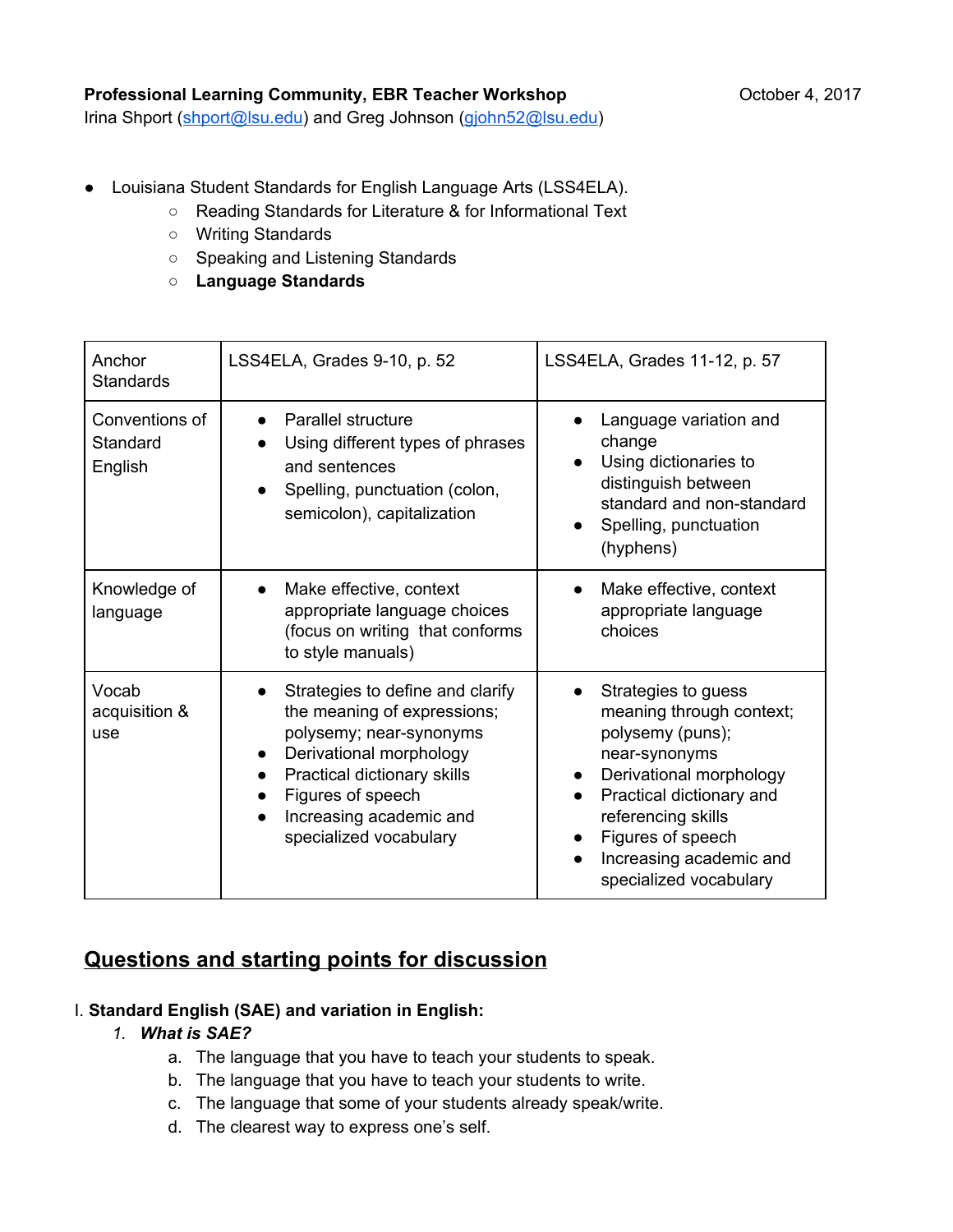### **Professional Learning Community, EBR Teacher Workshop <b>CES** October 4, 2017

Irina Shport (shport@lsu.edu) and Greg Johnson (giohn52@lsu.edu)

- Louisiana Student Standards for English Language Arts (LSS4ELA).
	- Reading Standards for Literature & for Informational Text
	- Writing Standards
	- Speaking and Listening Standards
	- **Language Standards**

| Anchor<br><b>Standards</b>            | LSS4ELA, Grades 9-10, p. 52                                                                                                                                                                                                                              | LSS4ELA, Grades 11-12, p. 57                                                                                                                                                                                                                                          |
|---------------------------------------|----------------------------------------------------------------------------------------------------------------------------------------------------------------------------------------------------------------------------------------------------------|-----------------------------------------------------------------------------------------------------------------------------------------------------------------------------------------------------------------------------------------------------------------------|
| Conventions of<br>Standard<br>English | Parallel structure<br>Using different types of phrases<br>$\bullet$<br>and sentences<br>Spelling, punctuation (colon,<br>semicolon), capitalization                                                                                                      | Language variation and<br>change<br>Using dictionaries to<br>distinguish between<br>standard and non-standard<br>Spelling, punctuation<br>$\bullet$<br>(hyphens)                                                                                                      |
| Knowledge of<br>language              | Make effective, context<br>appropriate language choices<br>(focus on writing that conforms<br>to style manuals)                                                                                                                                          | Make effective, context<br>$\bullet$<br>appropriate language<br>choices                                                                                                                                                                                               |
| Vocab<br>acquisition &<br>use         | Strategies to define and clarify<br>$\bullet$<br>the meaning of expressions;<br>polysemy; near-synonyms<br>Derivational morphology<br>$\bullet$<br>Practical dictionary skills<br>Figures of speech<br>Increasing academic and<br>specialized vocabulary | Strategies to guess<br>$\bullet$<br>meaning through context;<br>polysemy (puns);<br>near-synonyms<br>Derivational morphology<br>$\bullet$<br>Practical dictionary and<br>referencing skills<br>Figures of speech<br>Increasing academic and<br>specialized vocabulary |

# **Questions and starting points for discussion**

### I. **Standard English (SAE) and variation in English:**

### *1. What is SAE?*

- a. The language that you have to teach your students to speak.
- b. The language that you have to teach your students to write.
- c. The language that some of your students already speak/write.
- d. The clearest way to express one's self.